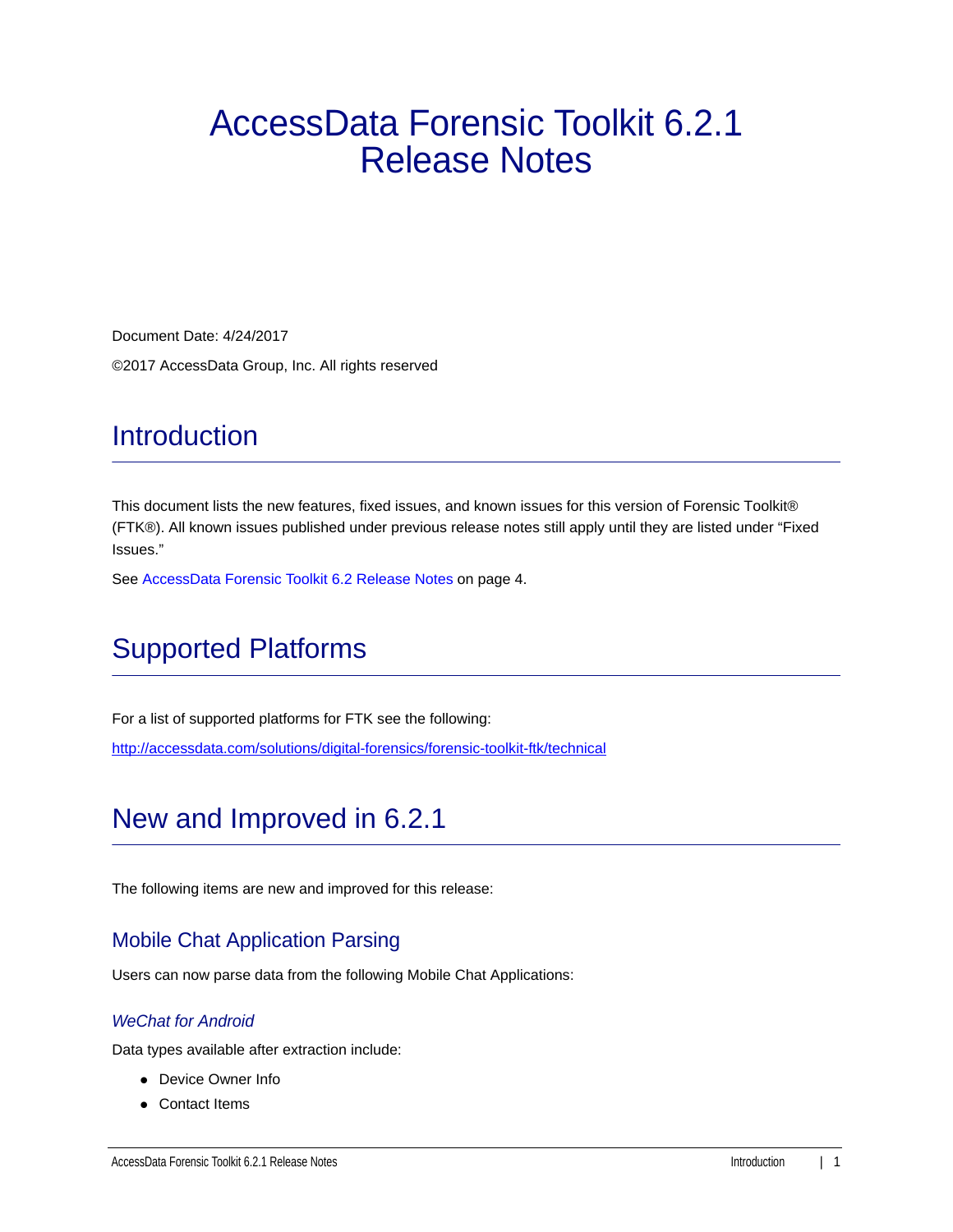# AccessData Forensic Toolkit 6.2.1 Release Notes

Document Date: 4/24/2017 ©2017 AccessData Group, Inc. All rights reserved

# **Introduction**

This document lists the new features, fixed issues, and known issues for this version of Forensic Toolkit® (FTK®). All known issues published under previous release notes still apply until they are listed under "Fixed Issues."

[See AccessData Forensic Toolkit 6.2 Release Notes on page 4.](#page-3-0)

# Supported Platforms

For a list of supported platforms for FTK see the following:

<http://accessdata.com/solutions/digital-forensics/forensic-toolkit-ftk/technical>

# New and Improved in 6.2.1

The following items are new and improved for this release:

### Mobile Chat Application Parsing

Users can now parse data from the following Mobile Chat Applications:

### *WeChat for Android*

Data types available after extraction include:

- Device Owner Info
- Contact Items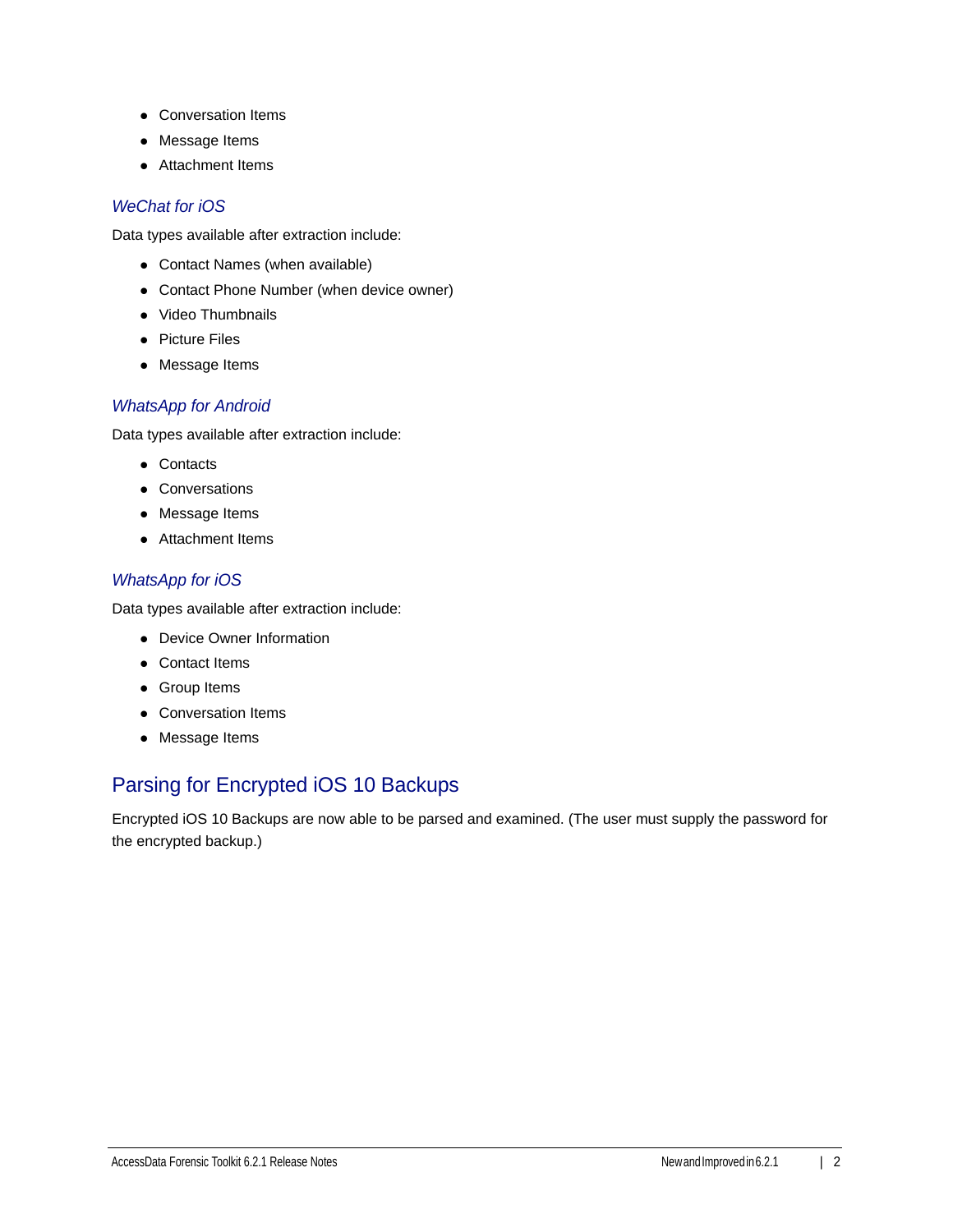- Conversation Items
- Message Items
- Attachment Items

### *WeChat for iOS*

Data types available after extraction include:

- Contact Names (when available)
- Contact Phone Number (when device owner)
- Video Thumbnails
- Picture Files
- Message Items

### *WhatsApp for Android*

Data types available after extraction include:

- Contacts
- Conversations
- Message Items
- Attachment Items

### *WhatsApp for iOS*

Data types available after extraction include:

- Device Owner Information
- Contact Items
- Group Items
- Conversation Items
- Message Items

### Parsing for Encrypted iOS 10 Backups

Encrypted iOS 10 Backups are now able to be parsed and examined. (The user must supply the password for the encrypted backup.)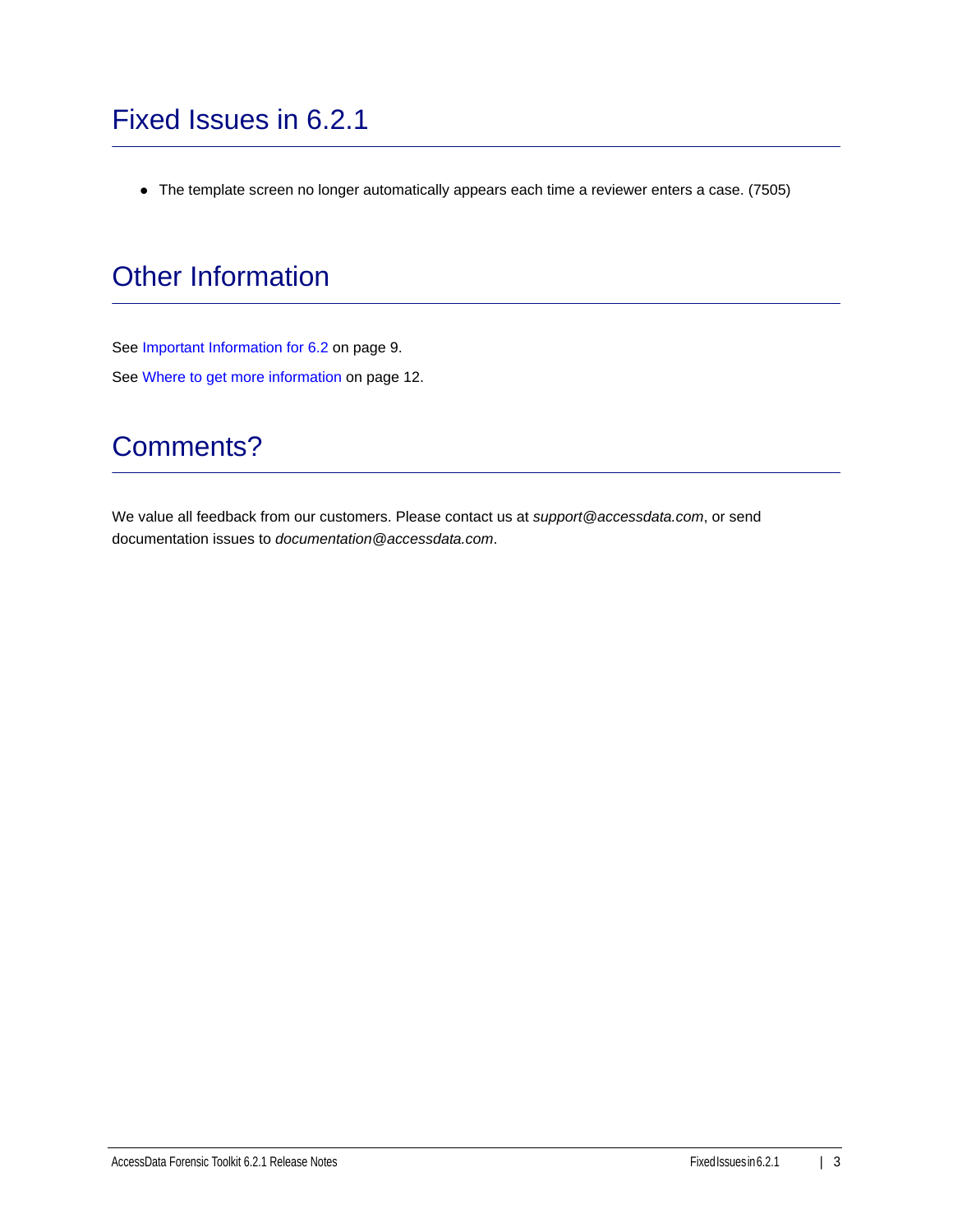• The template screen no longer automatically appears each time a reviewer enters a case. (7505)

# Other Information

[See Important Information for 6.2 on page 9.](#page-8-0) [See Where to get more information on page 12.](#page-11-0)

# Comments?

We value all feedback from our customers. Please contact us at *support@accessdata.com*, or send documentation issues to *documentation@accessdata.com*.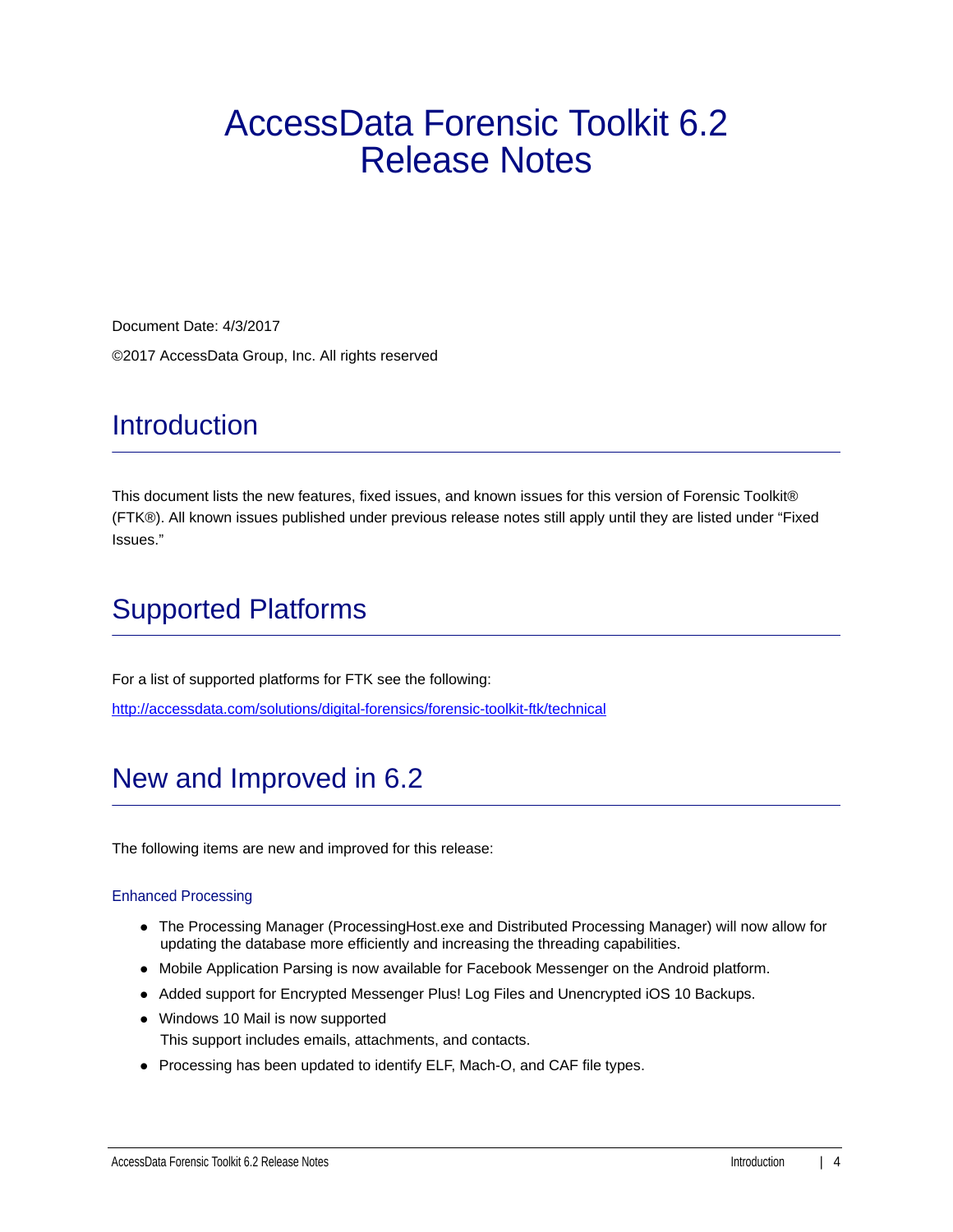# <span id="page-3-0"></span>AccessData Forensic Toolkit 6.2 Release Notes

Document Date: 4/3/2017 ©2017 AccessData Group, Inc. All rights reserved

# **Introduction**

This document lists the new features, fixed issues, and known issues for this version of Forensic Toolkit® (FTK®). All known issues published under previous release notes still apply until they are listed under "Fixed Issues."

# Supported Platforms

For a list of supported platforms for FTK see the following: <http://accessdata.com/solutions/digital-forensics/forensic-toolkit-ftk/technical>

# New and Improved in 6.2

The following items are new and improved for this release:

#### Enhanced Processing

- The Processing Manager (ProcessingHost.exe and Distributed Processing Manager) will now allow for updating the database more efficiently and increasing the threading capabilities.
- Mobile Application Parsing is now available for Facebook Messenger on the Android platform.
- Added support for Encrypted Messenger Plus! Log Files and Unencrypted iOS 10 Backups.
- Windows 10 Mail is now supported This support includes emails, attachments, and contacts.
- Processing has been updated to identify ELF, Mach-O, and CAF file types.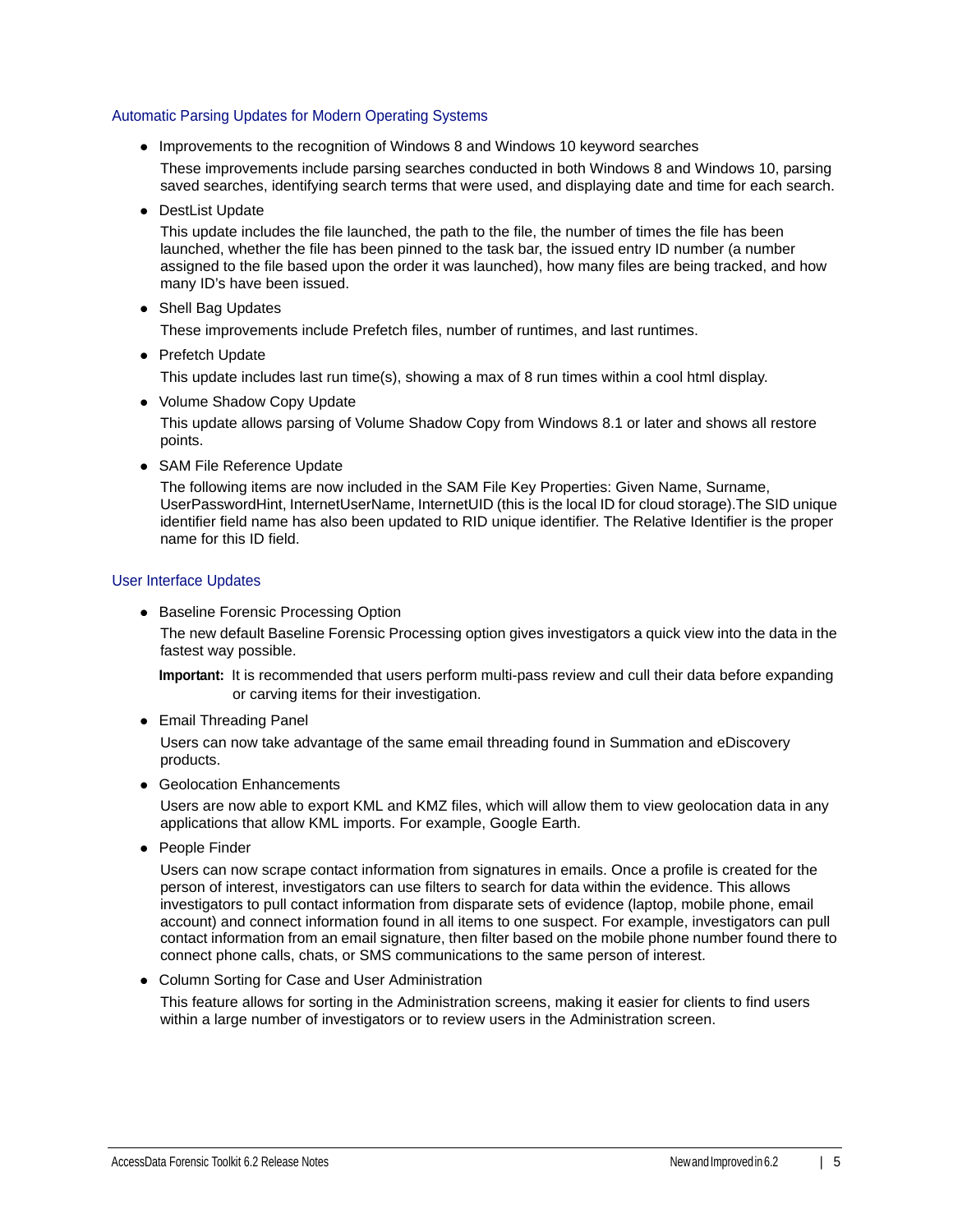#### Automatic Parsing Updates for Modern Operating Systems

• Improvements to the recognition of Windows 8 and Windows 10 keyword searches

These improvements include parsing searches conducted in both Windows 8 and Windows 10, parsing saved searches, identifying search terms that were used, and displaying date and time for each search.

• DestList Update

This update includes the file launched, the path to the file, the number of times the file has been launched, whether the file has been pinned to the task bar, the issued entry ID number (a number assigned to the file based upon the order it was launched), how many files are being tracked, and how many ID's have been issued.

• Shell Bag Updates

These improvements include Prefetch files, number of runtimes, and last runtimes.

- Prefetch Update This update includes last run time(s), showing a max of 8 run times within a cool html display.
- Volume Shadow Copy Update This update allows parsing of Volume Shadow Copy from Windows 8.1 or later and shows all restore points.
- SAM File Reference Update

The following items are now included in the SAM File Key Properties: Given Name, Surname, UserPasswordHint, InternetUserName, InternetUID (this is the local ID for cloud storage).The SID unique identifier field name has also been updated to RID unique identifier. The Relative Identifier is the proper name for this ID field.

#### User Interface Updates

• Baseline Forensic Processing Option The new default Baseline Forensic Processing option gives investigators a quick view into the data in the fastest way possible.

**Important:** It is recommended that users perform multi-pass review and cull their data before expanding or carving items for their investigation.

Email Threading Panel

Users can now take advantage of the same email threading found in Summation and eDiscovery products.

• Geolocation Enhancements

Users are now able to export KML and KMZ files, which will allow them to view geolocation data in any applications that allow KML imports. For example, Google Earth.

• People Finder

Users can now scrape contact information from signatures in emails. Once a profile is created for the person of interest, investigators can use filters to search for data within the evidence. This allows investigators to pull contact information from disparate sets of evidence (laptop, mobile phone, email account) and connect information found in all items to one suspect. For example, investigators can pull contact information from an email signature, then filter based on the mobile phone number found there to connect phone calls, chats, or SMS communications to the same person of interest.

• Column Sorting for Case and User Administration

This feature allows for sorting in the Administration screens, making it easier for clients to find users within a large number of investigators or to review users in the Administration screen.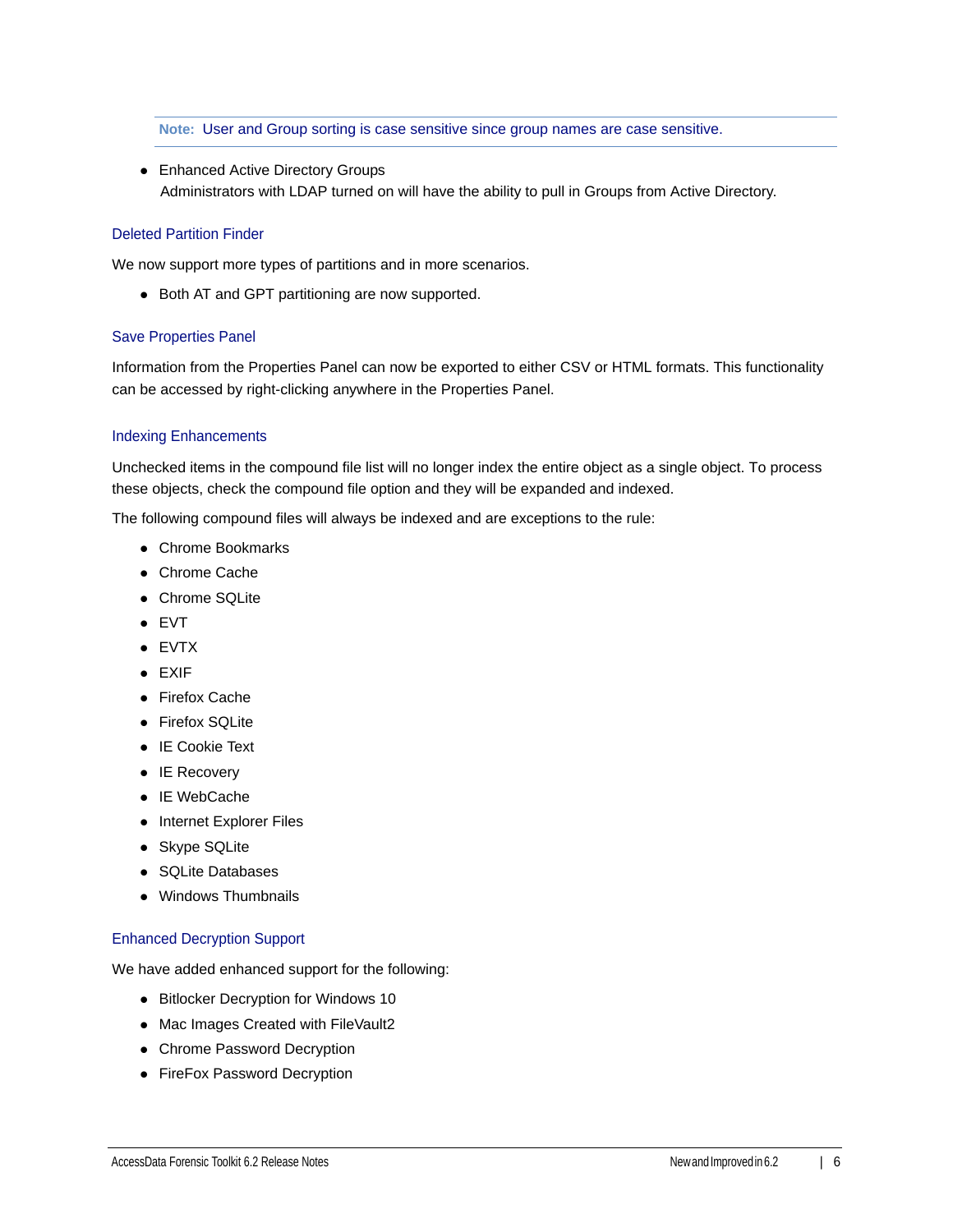**Note:** User and Group sorting is case sensitive since group names are case sensitive.

• Enhanced Active Directory Groups Administrators with LDAP turned on will have the ability to pull in Groups from Active Directory.

#### Deleted Partition Finder

We now support more types of partitions and in more scenarios.

• Both AT and GPT partitioning are now supported.

#### Save Properties Panel

Information from the Properties Panel can now be exported to either CSV or HTML formats. This functionality can be accessed by right-clicking anywhere in the Properties Panel.

#### Indexing Enhancements

Unchecked items in the compound file list will no longer index the entire object as a single object. To process these objects, check the compound file option and they will be expanded and indexed.

The following compound files will always be indexed and are exceptions to the rule:

- Chrome Bookmarks
- Chrome Cache
- Chrome SQLite
- EVT
- EVTX
- EXIF
- Firefox Cache
- **•** Firefox SQLite
- IE Cookie Text
- IE Recovery
- IE WebCache
- Internet Explorer Files
- Skype SQLite
- SQLite Databases
- Windows Thumbnails

### Enhanced Decryption Support

We have added enhanced support for the following:

- Bitlocker Decryption for Windows 10
- Mac Images Created with FileVault2
- Chrome Password Decryption
- FireFox Password Decryption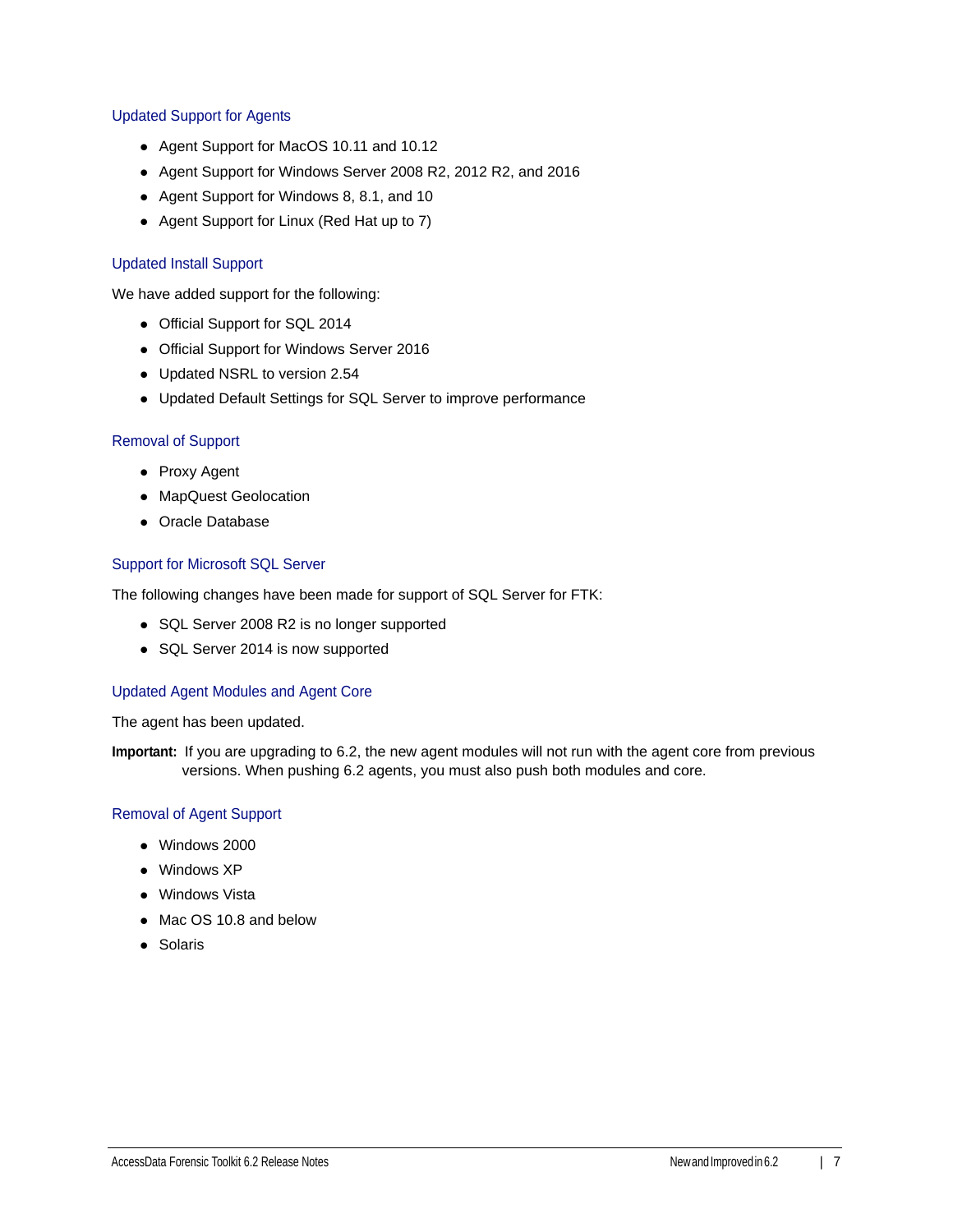### Updated Support for Agents

- Agent Support for MacOS 10.11 and 10.12
- Agent Support for Windows Server 2008 R2, 2012 R2, and 2016
- Agent Support for Windows 8, 8.1, and 10
- Agent Support for Linux (Red Hat up to 7)

#### Updated Install Support

We have added support for the following:

- Official Support for SQL 2014
- Official Support for Windows Server 2016
- Updated NSRL to version 2.54
- Updated Default Settings for SQL Server to improve performance

#### Removal of Support

- Proxy Agent
- MapQuest Geolocation
- Oracle Database

#### Support for Microsoft SQL Server

The following changes have been made for support of SQL Server for FTK:

- SQL Server 2008 R2 is no longer supported
- SQL Server 2014 is now supported

#### Updated Agent Modules and Agent Core

The agent has been updated.

**Important:** If you are upgrading to 6.2, the new agent modules will not run with the agent core from previous versions. When pushing 6.2 agents, you must also push both modules and core.

#### Removal of Agent Support

- Windows 2000
- Windows XP
- Windows Vista
- Mac OS 10.8 and below
- Solaris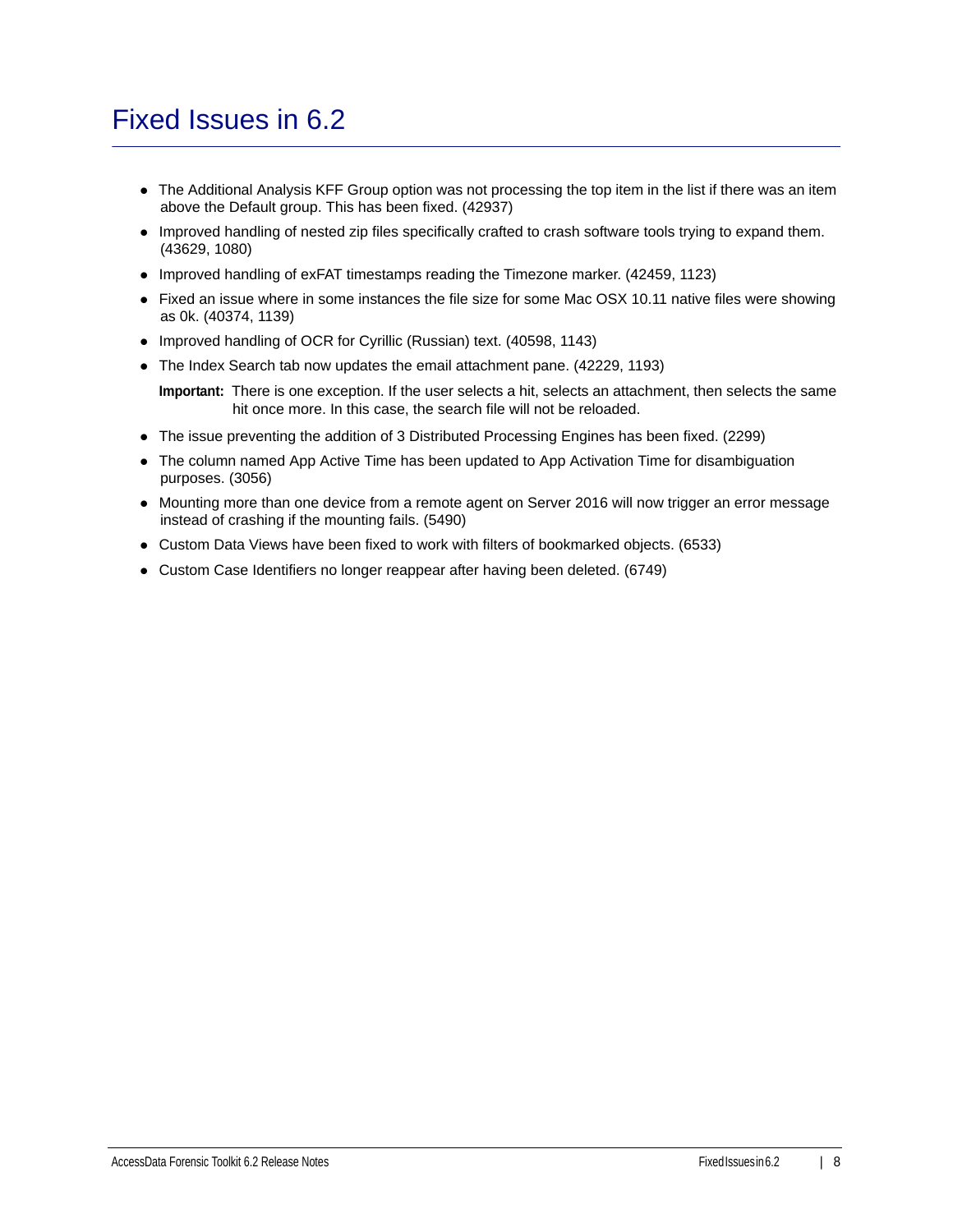# Fixed Issues in 6.2

- The Additional Analysis KFF Group option was not processing the top item in the list if there was an item above the Default group. This has been fixed. (42937)
- Improved handling of nested zip files specifically crafted to crash software tools trying to expand them. (43629, 1080)
- Improved handling of exFAT timestamps reading the Timezone marker. (42459, 1123)
- Fixed an issue where in some instances the file size for some Mac OSX 10.11 native files were showing as 0k. (40374, 1139)
- Improved handling of OCR for Cyrillic (Russian) text. (40598, 1143)
- The Index Search tab now updates the email attachment pane. (42229, 1193)

**Important:** There is one exception. If the user selects a hit, selects an attachment, then selects the same hit once more. In this case, the search file will not be reloaded.

- The issue preventing the addition of 3 Distributed Processing Engines has been fixed. (2299)
- The column named App Active Time has been updated to App Activation Time for disambiguation purposes. (3056)
- Mounting more than one device from a remote agent on Server 2016 will now trigger an error message instead of crashing if the mounting fails. (5490)
- Custom Data Views have been fixed to work with filters of bookmarked objects. (6533)
- Custom Case Identifiers no longer reappear after having been deleted. (6749)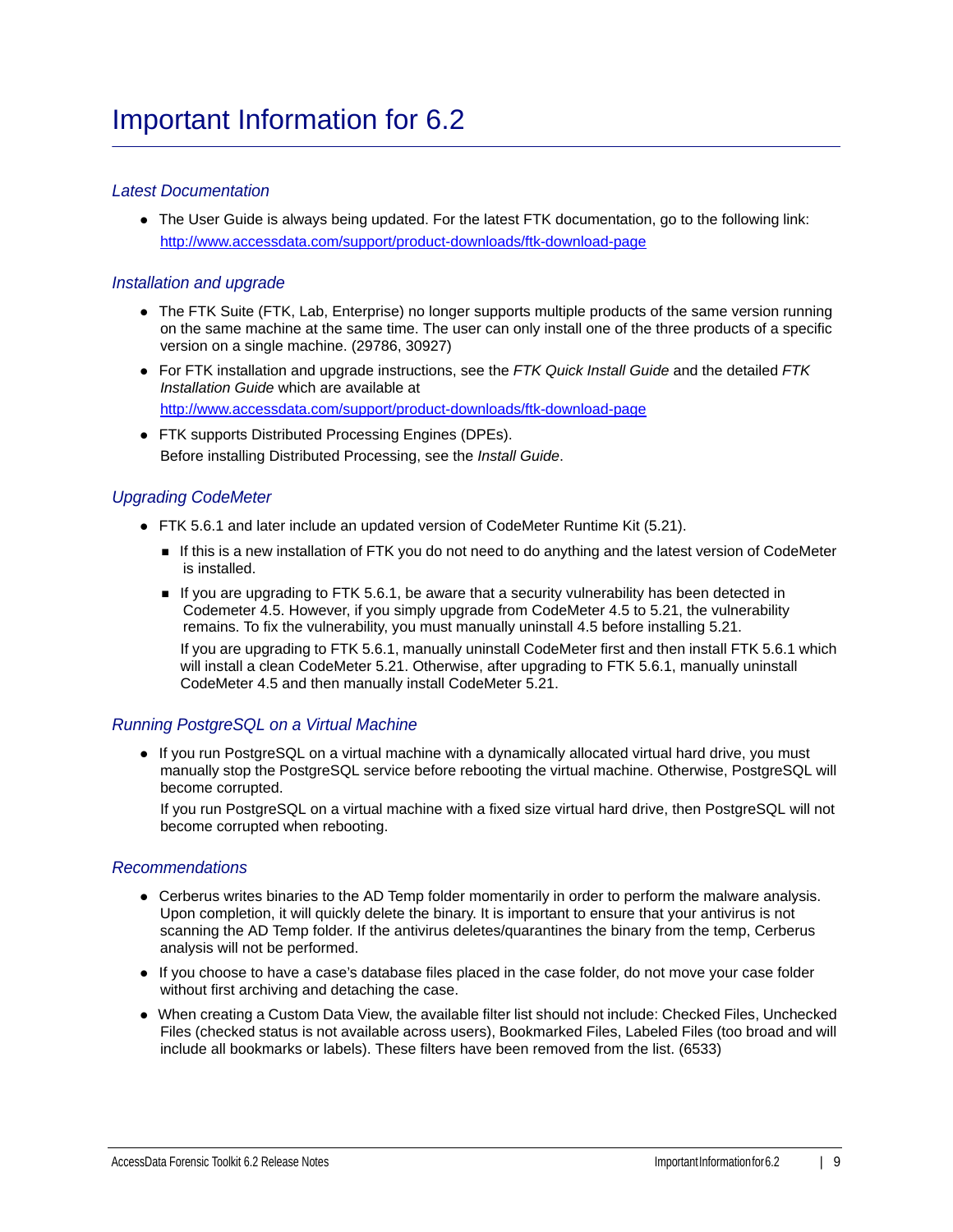### <span id="page-8-0"></span>*Latest Documentation*

The User Guide is always being updated. For the latest FTK documentation, go to the following link: http://www.accessdata.com/support/product-downloads/ftk-download-page

### *Installation and upgrade*

- The FTK Suite (FTK, Lab, Enterprise) no longer supports multiple products of the same version running on the same machine at the same time. The user can only install one of the three products of a specific version on a single machine. (29786, 30927)
- For FTK installation and upgrade instructions, see the *FTK Quick Install Guide* and the detailed *FTK Installation Guide* which are available at http://www.accessdata.com/support/product-downloads/ftk-download-page
- FTK supports Distributed Processing Engines (DPEs). Before installing Distributed Processing, see the *Install Guide*.

### *Upgrading CodeMeter*

- FTK 5.6.1 and later include an updated version of CodeMeter Runtime Kit (5.21).
	- If this is a new installation of FTK you do not need to do anything and the latest version of CodeMeter is installed.
	- If you are upgrading to FTK 5.6.1, be aware that a security vulnerability has been detected in Codemeter 4.5. However, if you simply upgrade from CodeMeter 4.5 to 5.21, the vulnerability remains. To fix the vulnerability, you must manually uninstall 4.5 before installing 5.21.

If you are upgrading to FTK 5.6.1, manually uninstall CodeMeter first and then install FTK 5.6.1 which will install a clean CodeMeter 5.21. Otherwise, after upgrading to FTK 5.6.1, manually uninstall CodeMeter 4.5 and then manually install CodeMeter 5.21.

### *Running PostgreSQL on a Virtual Machine*

• If you run PostgreSQL on a virtual machine with a dynamically allocated virtual hard drive, you must manually stop the PostgreSQL service before rebooting the virtual machine. Otherwise, PostgreSQL will become corrupted.

If you run PostgreSQL on a virtual machine with a fixed size virtual hard drive, then PostgreSQL will not become corrupted when rebooting.

### *Recommendations*

- Cerberus writes binaries to the AD Temp folder momentarily in order to perform the malware analysis. Upon completion, it will quickly delete the binary. It is important to ensure that your antivirus is not scanning the AD Temp folder. If the antivirus deletes/quarantines the binary from the temp, Cerberus analysis will not be performed.
- If you choose to have a case's database files placed in the case folder, do not move your case folder without first archiving and detaching the case.
- When creating a Custom Data View, the available filter list should not include: Checked Files, Unchecked Files (checked status is not available across users), Bookmarked Files, Labeled Files (too broad and will include all bookmarks or labels). These filters have been removed from the list. (6533)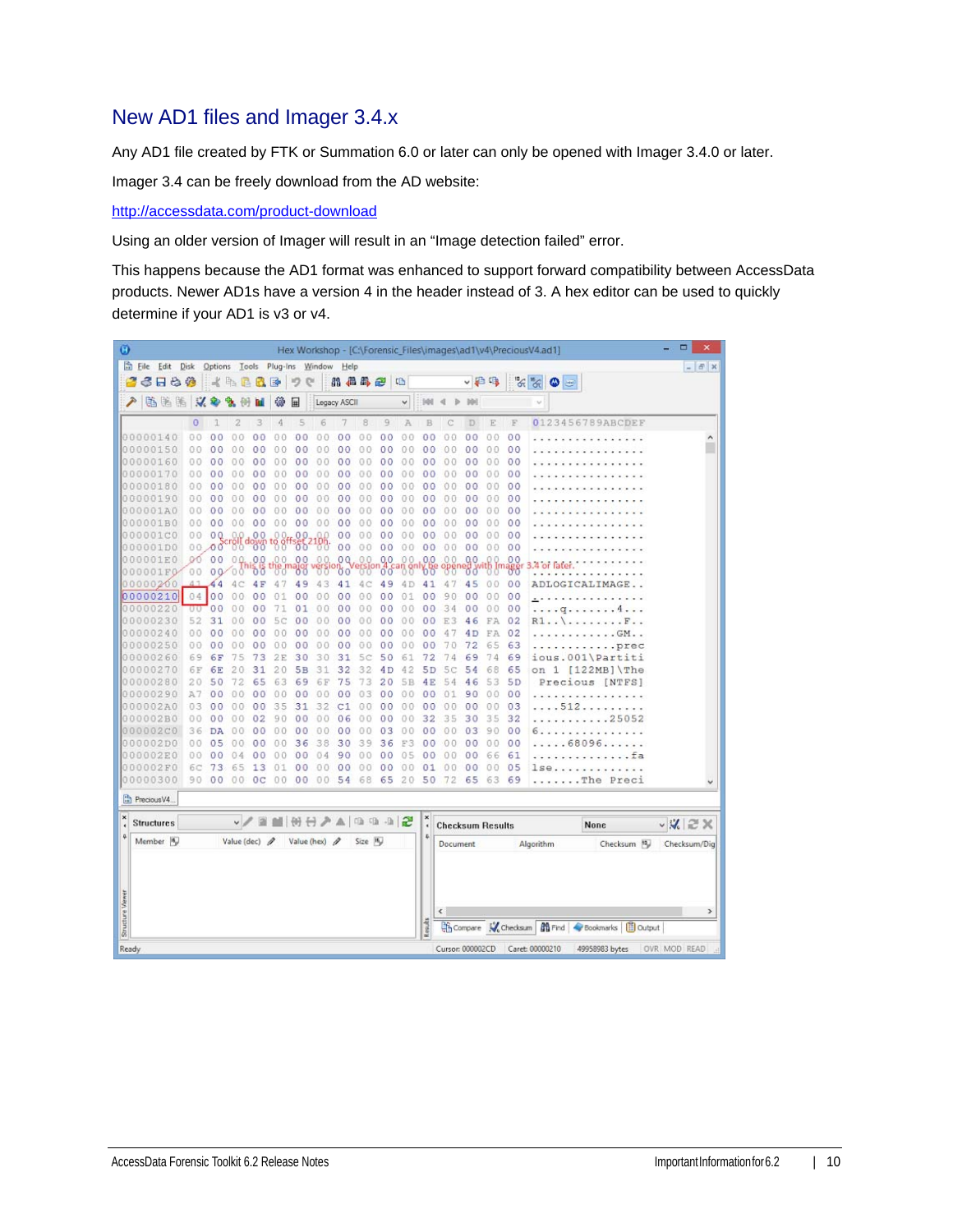### New AD1 files and Imager 3.4.x

Any AD1 file created by FTK or Summation 6.0 or later can only be opened with Imager 3.4.0 or later.

Imager 3.4 can be freely download from the AD website:

<http://accessdata.com/product-download>

Using an older version of Imager will result in an "Image detection failed" error.

This happens because the AD1 format was enhanced to support forward compatibility between AccessData products. Newer AD1s have a version 4 in the header instead of 3. A hex editor can be used to quickly determine if your AD1 is v3 or v4.

| Ø                       |                      |                |                |                    |                          |                            |                |                                    |                |          |                      |               |                 |                         |                |                |                      | Hex Workshop - [C:\Forensic_Files\images\ad1\v4\PreciousV4.ad1]           | □<br>$\boldsymbol{\mathsf{x}}$ |
|-------------------------|----------------------|----------------|----------------|--------------------|--------------------------|----------------------------|----------------|------------------------------------|----------------|----------|----------------------|---------------|-----------------|-------------------------|----------------|----------------|----------------------|---------------------------------------------------------------------------|--------------------------------|
|                         | Eile Edit Disk       |                |                |                    |                          |                            |                | Options Tools Plug-Ins Window Help |                |          |                      |               |                 |                         |                |                |                      |                                                                           | $  \in$ $x$                    |
|                         | 6 F & &              |                |                | KABBE              |                          |                            | 吵              | $\mathbb{C}^n$                     |                | 用品品色     |                      | 吗             |                 |                         |                | ↓日吗            |                      | $\frac{1}{\sqrt{2}}\frac{1}{\sqrt{2}}\frac{1}{\sqrt{2}}$<br>٥<br>$\equiv$ |                                |
|                         | 临海路                  |                | $\mathcal{A}$  |                    |                          | 镲                          | 匣              |                                    | Legacy ASCII   |          |                      | $\checkmark$  | 94              |                         |                |                |                      |                                                                           |                                |
|                         |                      | $\circ$        | 7              | 2                  | 3                        | 4                          | 5              | 6                                  |                | 8        | 9                    | A             | B               |                         | D              | E              | E                    | 0123456789ABCDEF                                                          |                                |
|                         | 00000140             | 0 <sub>0</sub> | 0 <sup>0</sup> | 00                 | 00                       | 00                         | 0 <sub>0</sub> | 0.0                                | 0<br>0         | 00       | 00                   | 00            | 0 <sub>0</sub>  | 0                       | 0 <sub>0</sub> | 0 <sub>0</sub> | 00                   |                                                                           | ۸                              |
|                         | 00000150             | 00             | ٥<br>$\Omega$  | 0                  | ٥<br>$\Omega$            | 00                         | ٥<br>$\Omega$  | O<br>0                             | 0<br>0         | 00       | 0 <sup>0</sup>       | 0<br>0        | 0 <sup>0</sup>  | 0<br>0                  | 00             | 00             | 00                   |                                                                           |                                |
|                         | 00000160             | 00             | 0 <sub>0</sub> | 00                 | 00                       | 00                         | 00             | 00                                 | 0<br>0         | 00       | 0 <sub>0</sub>       | 0.0           | 00              | 00                      | 00             | 0.0            | 00                   |                                                                           |                                |
|                         | 00000170             | 00             | 00             | 00                 | 00                       | 00                         | 00             | 00                                 | 0 <sub>0</sub> | 00       | 0 <sup>0</sup>       | 00            | 00              | 00                      | 00             | 00             | 00                   |                                                                           |                                |
|                         | 00000180             | 00             | 0 <sup>0</sup> | 0<br>0             | 00                       | 00                         | 0<br>0         | 0<br>Ð                             | 0<br>0         | 00       | 00                   | 0.0           | 00              | 0.<br>0                 | 00             | 0.0            | 00                   |                                                                           |                                |
|                         | 00000190             | 0.0            | 00             | 00                 | 00                       | 00                         | 00             | 00                                 | 00             | 0.0      | 00                   | 0.0           | 00              | 0 <sub>0</sub>          | 00             | 00             | 00                   |                                                                           |                                |
|                         | 000001A0             | 00             | 0 <sup>0</sup> | 0<br>0             | $\ddot{\mathbf{0}}$<br>0 | O O                        | 0<br>$\circ$   | Ō<br>0                             | 0<br>0         | 00       | 0 <sub>0</sub>       | 00            | 0 <sup>0</sup>  | 0<br>0                  | 00             | 00             | 00                   |                                                                           |                                |
|                         | 000001B0             | 0.0            | 0 <sup>0</sup> | 00                 | 00                       | 00                         | 00             | 00                                 | 0 <sup>0</sup> | 00       | 0 <sup>0</sup>       | O<br>$\Omega$ | 00              | 0<br>0                  | 00             | 00             | 00                   |                                                                           |                                |
|                         | 000001C0             | 00             | 0Q             | 0.0                | 00                       | $\Omega$<br>$^{18}$ $^{8}$ | 0 <sup>0</sup> |                                    | 0 <sup>0</sup> | 00       | 0 <sup>0</sup>       | 00            | 00              | 00                      | 00             | 0 <sup>0</sup> | 00                   |                                                                           |                                |
|                         | 000001D0             |                | 00.00          |                    | <b>Bildown</b>           |                            | 0p-            | $^{190}$                           | 00             | 00       | 0 <sub>0</sub>       | 00            | 0 <sup>o</sup>  | 00                      | 0 <sup>0</sup> | 00             | 00                   |                                                                           |                                |
|                         | 000001E0             | 00             | 00             | 00.                | 0.0                      | .00.                       | 00             | 00                                 | 0Q             | 0.0      | 0.0                  | 00            | 0.0             | 00                      | 00             | 00             | 00<br>958            | 4 or later                                                                |                                |
|                         | 000001F0             | 00             |                | 00'00              | ðδ                       |                            | ზზ             |                                    | ΩO.            |          | 00                   |               | ზზ              |                         | შშ             |                |                      |                                                                           |                                |
|                         | 00000200             |                | 44             | 4<br>c             | 4F                       | 47                         | 49             | 43                                 | 41             | 4C       | 49                   | 4 D           | 41              | 4<br>7                  | 45             | 00             | 00                   | ADLOGICALIMAGE                                                            |                                |
|                         | 00000210             |                | 04 00          | 0 <sub>0</sub>     | 0 <sup>0</sup>           | 01                         | 0 <sup>0</sup> | 00                                 | 0 <sub>0</sub> | 00       | 0 <sup>0</sup>       | 01            | 0 <sub>0</sub>  | 9<br>0                  | 00             | 0 <sub>0</sub> | 00                   | .                                                                         |                                |
|                         | 00000220             | ००             | 00             | 0                  | 00                       | 71                         | 01             | 00                                 | 00             | 00       | 00                   | 00            | 00              | 34                      | 00             | 0.0            | 00                   | .4.<br>q.                                                                 |                                |
|                         | 00000230<br>00000240 | 52             | 31             | Ö<br>0             | 00                       | 5<br>Ċ                     | 0 <sup>0</sup> | 00<br>0.0                          | 00             | 00       | 0 <sup>0</sup>       | 00            | 00              | E<br>3                  | 46             | FA             | 02                   | R1.<br>$F$ .                                                              |                                |
|                         |                      | 0.0            | 0 <sup>0</sup> | 00                 | 00                       | 00                         | 00             |                                    | 0 <sub>0</sub> | 00       | 00                   | 00<br>00      | 00              | 4                       | 4D             | FA             | 02                   | .GM.                                                                      |                                |
|                         | 00000250<br>00000260 | 00             | 00             | 00                 | 00                       | 00                         | 00             | 00                                 | 00<br>31       | 00<br>5c | 0 <sub>0</sub><br>50 | 61            | 00              | 70                      | 72             | 65             | 63                   | prec                                                                      |                                |
|                         | 00000270             | 69             | 6F             | 75                 | 73                       | 2E                         | 30             | 30<br>31                           |                | 32       |                      |               | 72              | 74                      | 69             | 74             | 69                   | ious.001\Partiti                                                          |                                |
|                         | 00000280             | 6F<br>20       | 6E<br>50       | 20<br>72           | 31<br>65                 | 20<br>63                   | 5в<br>69       |                                    | 32<br>75       | 73       | 4D<br>20             | 42<br>5B      | 5 D<br>4E       | 5c<br>54                | 54<br>46       | 68<br>53       | 65<br>5 <sub>D</sub> | 1<br>$[122MB]$ The<br>on<br>Precious [NTFS]                               |                                |
|                         | 00000290             | A7             | 00             | 00                 | 00                       | 00                         | 00             | 6F<br>00                           | 0<br>0         | 03       | 00                   | 00            | 00              | 01                      | 90             | 00             | 00                   |                                                                           |                                |
|                         | 000002A0             | 03             | 00             | 00                 | 00                       | 35                         | 31             | 32                                 | C1             | 00       | 00                   | 00            | 0 <sub>0</sub>  | 0 <sub>0</sub>          | 00             | 00             | 03                   | .512                                                                      |                                |
|                         | 000002B0             | 00             | 00             | 00                 | 02                       | 90                         | 0 <sub>0</sub> | 0.0                                | 06             | 00       | 00                   | 00            | 32              | 35                      | 30             | 35             | 32                   | $\ldots \ldots 25052$                                                     |                                |
|                         | 000002C0             | 36             | <b>DA</b>      | 0<br>0             | 0 <sup>0</sup>           | 00                         | 00             | 00                                 | 0 <sub>0</sub> | 00       | 03                   | 00            | 00              | 0<br>0                  | 03             | 90             | 00                   | .                                                                         |                                |
|                         | 000002D0             | 00             | 05             | 0<br>0             | 00                       | 0.0                        | 36             | 38                                 | 30             | 39       | 36                   | F3            | 00              | 0<br>0                  | 00             | 0.0            | 00                   | .68096                                                                    |                                |
|                         | 000002E0             | 0 <sub>0</sub> | 0 <sub>0</sub> |                    | 00                       |                            | 00             | 04                                 | 90             | 00       | 00                   | 05            | 00              | 0                       | 00             | 66             | 61                   | $-11111$                                                                  |                                |
|                         | 000002F0             | бС             | 73             | 5<br>6             | 13                       | 01                         | 00             | 00                                 | 0 <sup>0</sup> | 00       | 00                   | 00            | 01              | 0 <sub>0</sub>          | 00             | 0 <sup>0</sup> | 05                   | lse                                                                       |                                |
|                         | 00000300             | 90             | 00             | 00                 | 0 <sup>c</sup>           | 00                         | 0 <sub>0</sub> | 00                                 | 54             | 68       | 65                   | 20            | 50              | 72                      | 65             | 63             | 69                   | The Preci                                                                 |                                |
|                         | Precious V4.         |                |                |                    |                          |                            |                |                                    |                |          |                      |               |                 |                         |                |                |                      |                                                                           |                                |
|                         |                      |                |                |                    |                          |                            |                |                                    |                |          |                      |               |                 |                         |                |                |                      |                                                                           |                                |
|                         | <b>Structures</b>    |                |                |                    | $\sqrt{2}$               |                            |                | IBH 공기 A   매매매 2                   |                |          |                      |               | ×<br>$\epsilon$ | <b>Checksum Results</b> |                |                |                      | None                                                                      | $\vee$ X $\approx$ X           |
|                         | Member <sub>16</sub> |                |                | Value (dec) $\rho$ |                          |                            |                | Value (hex) 2                      |                | Size In  |                      |               | 4               | Document                |                |                |                      | Checksum 10<br>Algorithm                                                  | Checksum/Dig                   |
|                         |                      |                |                |                    |                          |                            |                |                                    |                |          |                      |               |                 |                         |                |                |                      |                                                                           |                                |
|                         |                      |                |                |                    |                          |                            |                |                                    |                |          |                      |               |                 | ¢                       |                |                |                      |                                                                           | $\rightarrow$                  |
| <b>Structure Viewer</b> |                      |                |                |                    |                          |                            |                |                                    |                |          |                      |               | Reads           |                         |                |                |                      | Compare W Checksum   G Find   Bookmarks   C Output                        |                                |
| Ready                   |                      |                |                |                    |                          |                            |                |                                    |                |          |                      |               |                 | Cursor: 000002CD        |                |                |                      | Caret: 00000210<br>49958983 bytes                                         | OVR MOD READ                   |
|                         |                      |                |                |                    |                          |                            |                |                                    |                |          |                      |               |                 |                         |                |                |                      |                                                                           |                                |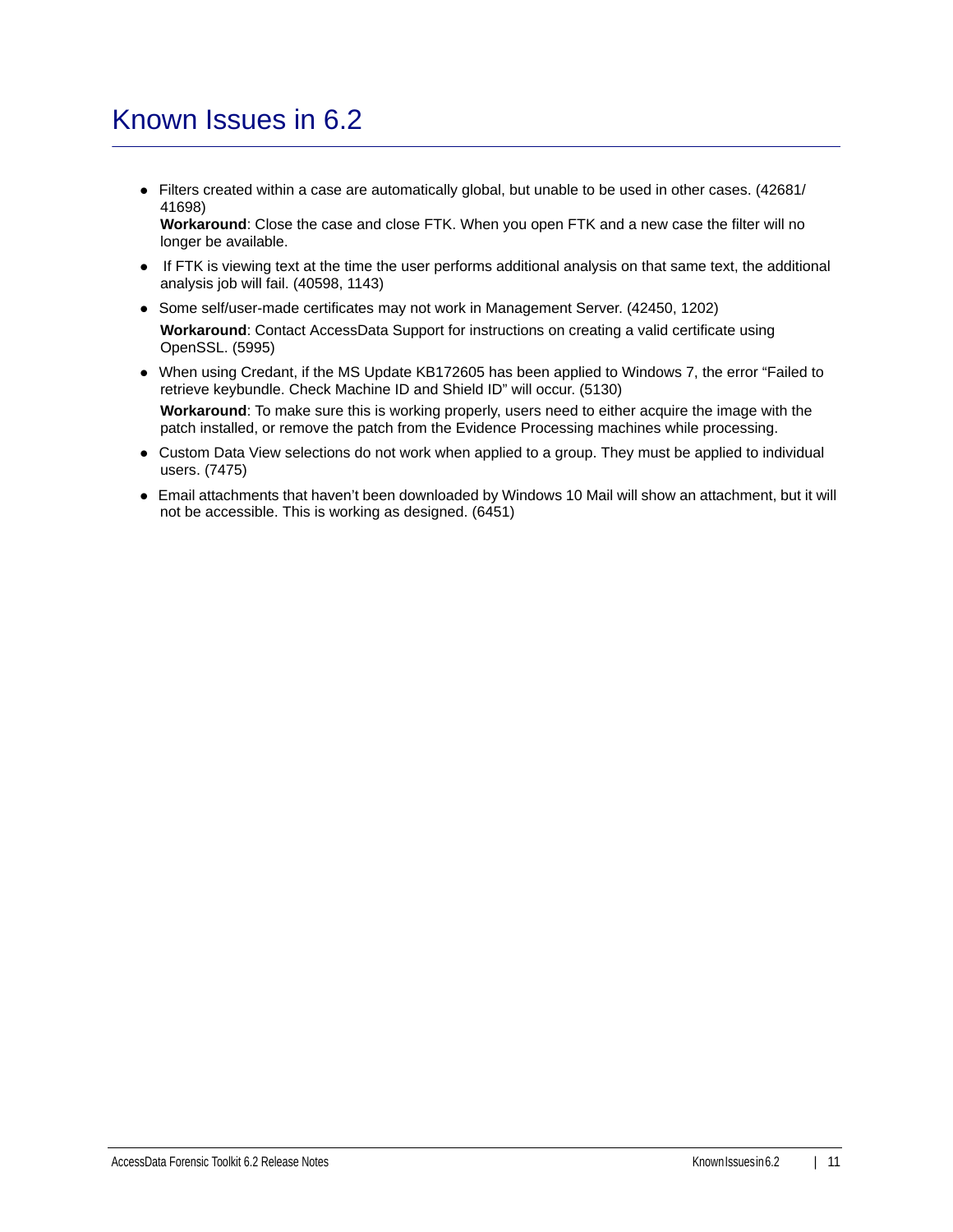# Known Issues in 6.2

Filters created within a case are automatically global, but unable to be used in other cases. (42681/ 41698)

**Workaround**: Close the case and close FTK. When you open FTK and a new case the filter will no longer be available.

- If FTK is viewing text at the time the user performs additional analysis on that same text, the additional analysis job will fail. (40598, 1143)
- Some self/user-made certificates may not work in Management Server. (42450, 1202) **Workaround**: Contact AccessData Support for instructions on creating a valid certificate using OpenSSL. (5995)
- When using Credant, if the MS Update KB172605 has been applied to Windows 7, the error "Failed to retrieve keybundle. Check Machine ID and Shield ID" will occur. (5130) **Workaround**: To make sure this is working properly, users need to either acquire the image with the patch installed, or remove the patch from the Evidence Processing machines while processing.
- Custom Data View selections do not work when applied to a group. They must be applied to individual users. (7475)
- Email attachments that haven't been downloaded by Windows 10 Mail will show an attachment, but it will not be accessible. This is working as designed. (6451)